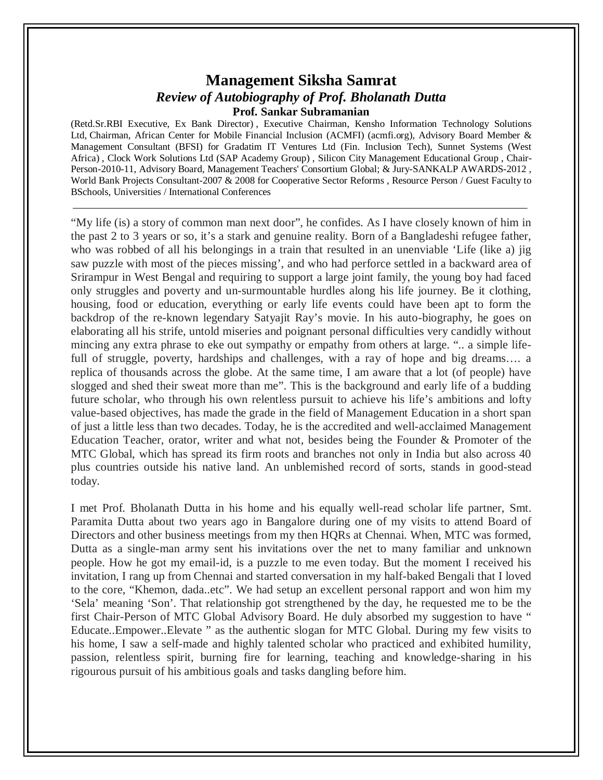## **Management Siksha Samrat** *Review of Autobiography of Prof. Bholanath Dutta* **Prof. Sankar Subramanian**

(Retd.Sr.RBI Executive, Ex Bank Director) , Executive Chairman, Kensho Information Technology Solutions Ltd, Chairman, African Center for Mobile Financial Inclusion (ACMFI) (acmfi.org), Advisory Board Member & Management Consultant (BFSI) for Gradatim IT Ventures Ltd (Fin. Inclusion Tech), Sunnet Systems (West Africa) , Clock Work Solutions Ltd (SAP Academy Group) , Silicon City Management Educational Group , Chair-Person-2010-11, Advisory Board, Management Teachers' Consortium Global; & Jury-SANKALP AWARDS-2012 , World Bank Projects Consultant-2007 & 2008 for Cooperative Sector Reforms , Resource Person / Guest Faculty to BSchools, Universities / International Conferences

"My life (is) a story of common man next door", he confides. As I have closely known of him in the past 2 to 3 years or so, it's a stark and genuine reality. Born of a Bangladeshi refugee father, who was robbed of all his belongings in a train that resulted in an unenviable 'Life (like a) jig saw puzzle with most of the pieces missing', and who had perforce settled in a backward area of Srirampur in West Bengal and requiring to support a large joint family, the young boy had faced only struggles and poverty and un-surmountable hurdles along his life journey. Be it clothing, housing, food or education, everything or early life events could have been apt to form the backdrop of the re-known legendary Satyajit Ray's movie. In his auto-biography, he goes on elaborating all his strife, untold miseries and poignant personal difficulties very candidly without mincing any extra phrase to eke out sympathy or empathy from others at large. ".. a simple lifefull of struggle, poverty, hardships and challenges, with a ray of hope and big dreams..., a replica of thousands across the globe. At the same time, I am aware that a lot (of people) have slogged and shed their sweat more than me". This is the background and early life of a budding future scholar, who through his own relentless pursuit to achieve his life's ambitions and lofty value-based objectives, has made the grade in the field of Management Education in a short span of just a little less than two decades. Today, he is the accredited and well-acclaimed Management Education Teacher, orator, writer and what not, besides being the Founder & Promoter of the MTC Global, which has spread its firm roots and branches not only in India but also across 40 plus countries outside his native land. An unblemished record of sorts, stands in good-stead today.

I met Prof. Bholanath Dutta in his home and his equally well-read scholar life partner, Smt. Paramita Dutta about two years ago in Bangalore during one of my visits to attend Board of Directors and other business meetings from my then HQRs at Chennai. When, MTC was formed, Dutta as a single-man army sent his invitations over the net to many familiar and unknown people. How he got my email-id, is a puzzle to me even today. But the moment I received his invitation, I rang up from Chennai and started conversation in my half-baked Bengali that I loved to the core, "Khemon, dada..etc". We had setup an excellent personal rapport and won him my 'Sela' meaning 'Son'. That relationship got strengthened by the day, he requested me to be the first Chair-Person of MTC Global Advisory Board. He duly absorbed my suggestion to have " Educate..Empower..Elevate " as the authentic slogan for MTC Global. During my few visits to his home, I saw a self-made and highly talented scholar who practiced and exhibited humility, passion, relentless spirit, burning fire for learning, teaching and knowledge-sharing in his rigourous pursuit of his ambitious goals and tasks dangling before him.